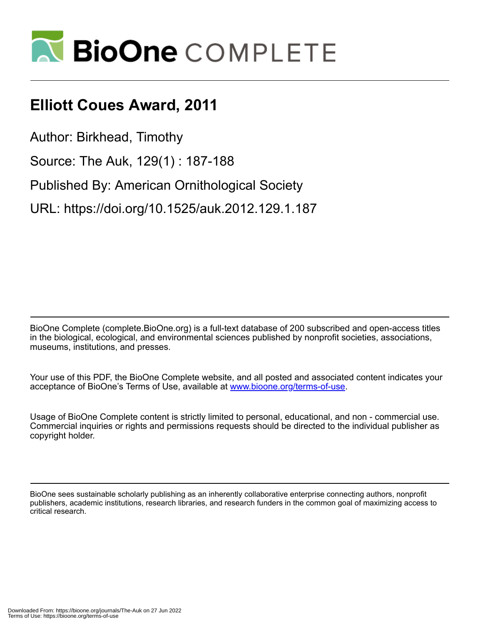

## **Elliott Coues Award, 2011**

Author: Birkhead, Timothy

Source: The Auk, 129(1) : 187-188

Published By: American Ornithological Society

URL: https://doi.org/10.1525/auk.2012.129.1.187

BioOne Complete (complete.BioOne.org) is a full-text database of 200 subscribed and open-access titles in the biological, ecological, and environmental sciences published by nonprofit societies, associations, museums, institutions, and presses.

Your use of this PDF, the BioOne Complete website, and all posted and associated content indicates your acceptance of BioOne's Terms of Use, available at www.bioone.org/terms-of-use.

Usage of BioOne Complete content is strictly limited to personal, educational, and non - commercial use. Commercial inquiries or rights and permissions requests should be directed to the individual publisher as copyright holder.

BioOne sees sustainable scholarly publishing as an inherently collaborative enterprise connecting authors, nonprofit publishers, academic institutions, research libraries, and research funders in the common goal of maximizing access to critical research.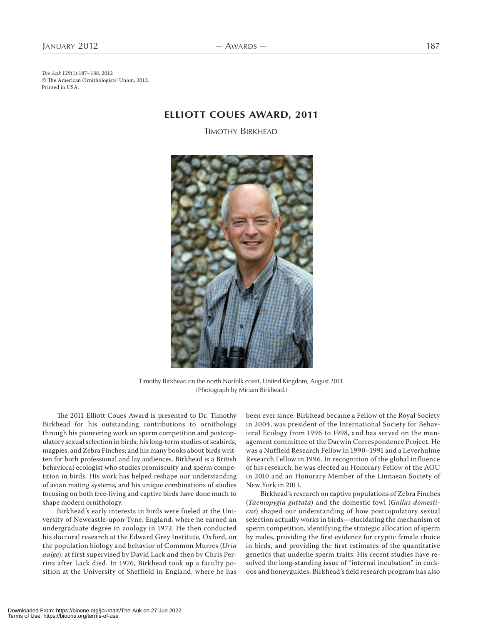The Auk 129(1):187–188, 2012 © The American Ornithologists' Union, 2012. Printed in USA.

## **ELLIOTT COUES AWARD, 2011**

TIMOTHY BIRKHEAD



Timothy Birkhead on the north Norfolk coast, United Kingdom, August 2011. (Photograph by Miriam Birkhead.)

The 2011 Elliott Coues Award is presented to Dr. Timothy Birkhead for his outstanding contributions to ornithology through his pioneering work on sperm competition and postcopulatory sexual selection in birds; his long-term studies of seabirds, magpies, and Zebra Finches; and his many books about birds written for both professional and lay audiences. Birkhead is a British behavioral ecologist who studies promiscuity and sperm competition in birds. His work has helped reshape our understanding of avian mating systems, and his unique combinations of studies focusing on both free-living and captive birds have done much to shape modern ornithology.

Birkhead's early interests in birds were fueled at the University of Newcastle-upon-Tyne, England, where he earned an undergraduate degree in zoology in 1972. He then conducted his doctoral research at the Edward Grey Institute, Oxford, on the population biology and behavior of Common Murres (Uria aalge), at first supervised by David Lack and then by Chris Perrins after Lack died. In 1976, Birkhead took up a faculty position at the University of Sheffield in England, where he has been ever since. Birkhead became a Fellow of the Royal Society in 2004, was president of the International Society for Behavioral Ecology from 1996 to 1998, and has served on the management committee of the Darwin Correspondence Project. He was a Nuffield Research Fellow in 1990-1991 and a Leverhulme Research Fellow in 1996. In recognition of the global influence of his research, he was elected an Honorary Fellow of the AOU in 2010 and an Honorary Member of the Linnaean Society of New York in 2011.

Birkhead's research on captive populations of Zebra Finches (Taeniopygia guttata) and the domestic fowl (Gallus domesticus) shaped our understanding of how postcopulatory sexual selection actually works in birds—elucidating the mechanism of sperm competition, identifying the strategic allocation of sperm by males, providing the first evidence for cryptic female choice in birds, and providing the first estimates of the quantitative genetics that underlie sperm traits. His recent studies have resolved the long-standing issue of "internal incubation" in cuckoos and honeyguides. Birkhead's field research program has also